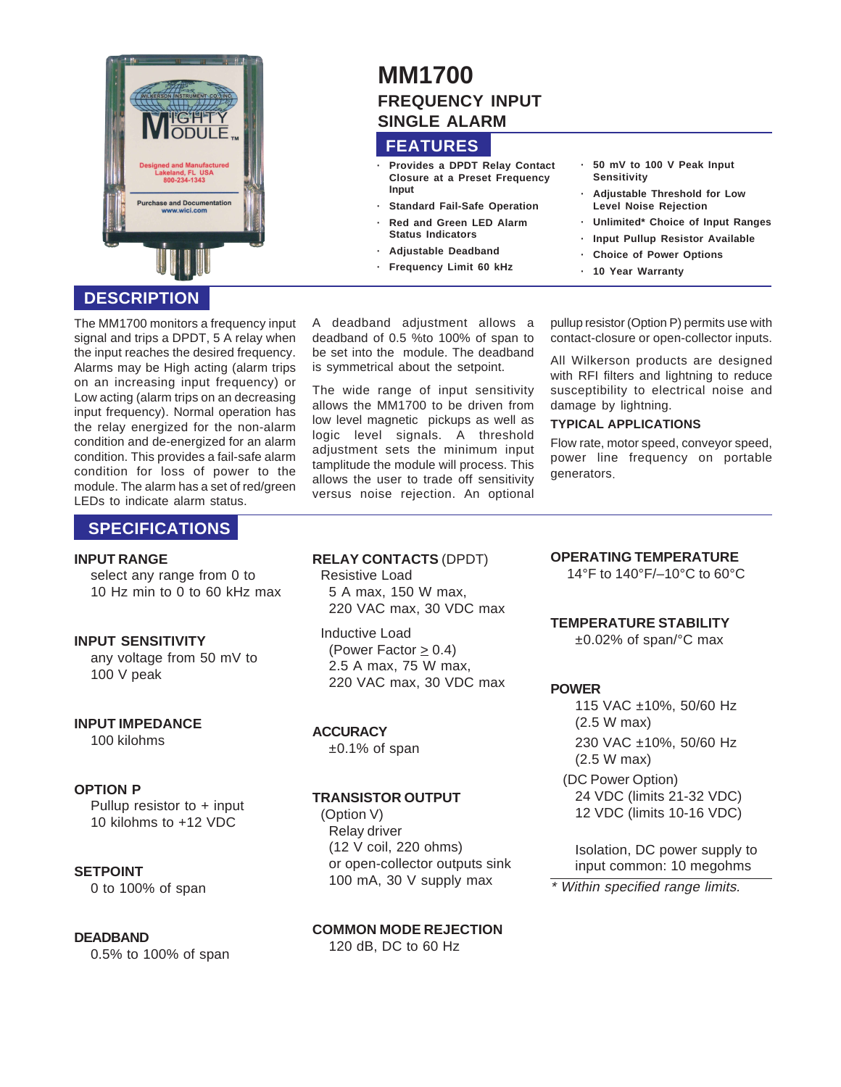

# **DESCRIPTION**

The MM1700 monitors a frequency input signal and trips a DPDT, 5 A relay when the input reaches the desired frequency. Alarms may be High acting (alarm trips on an increasing input frequency) or Low acting (alarm trips on an decreasing input frequency). Normal operation has the relay energized for the non-alarm condition and de-energized for an alarm condition. This provides a fail-safe alarm condition for loss of power to the module. The alarm has a set of red/green LEDs to indicate alarm status.

## **SPECIFICATIONS**

#### **INPUT RANGE**

select any range from 0 to 10 Hz min to 0 to 60 kHz max

#### **INPUT SENSITIVITY**

any voltage from 50 mV to 100 V peak

# **INPUT IMPEDANCE**

100 kilohms

### **OPTION P**

Pullup resistor to + input 10 kilohms to +12 VDC

### **SETPOINT**

0 to 100% of span

### **DEADBAND**

0.5% to 100% of span

# **MM1700 FREQUENCY INPUT SINGLE ALARM**

# **FEATURES**

- **· Provides a DPDT Relay Contact Closure at a Preset Frequency Input**
- **Standard Fail-Safe Operation**
- **· Red and Green LED Alarm Status Indicators**
- **· Adjustable Deadband**
- **· Frequency Limit 60 kHz**

A deadband adjustment allows a deadband of 0.5 %to 100% of span to be set into the module. The deadband is symmetrical about the setpoint.

The wide range of input sensitivity allows the MM1700 to be driven from low level magnetic pickups as well as logic level signals. A threshold adjustment sets the minimum input tamplitude the module will process. This allows the user to trade off sensitivity versus noise rejection. An optional **· 50 mV to 100 V Peak Input Sensitivity**

- **· Adjustable Threshold for Low Level Noise Rejection**
- **· Unlimited\* Choice of Input Ranges**
- **· Input Pullup Resistor Available · Choice of Power Options**
- **· 10 Year Warranty**

pullup resistor (Option P) permits use with contact-closure or open-collector inputs.

All Wilkerson products are designed with RFI filters and lightning to reduce susceptibility to electrical noise and damage by lightning.

#### **TYPICAL APPLICATIONS**

Flow rate, motor speed, conveyor speed, power line frequency on portable generators.

#### **RELAY CONTACTS** (DPDT)

Resistive Load 5 A max, 150 W max, 220 VAC max, 30 VDC max

Inductive Load (Power Factor  $\geq$  0.4) 2.5 A max, 75 W max, 220 VAC max, 30 VDC max

### **ACCURACY**

±0.1% of span

### **TRANSISTOR OUTPUT**

(Option V) Relay driver (12 V coil, 220 ohms) or open-collector outputs sink 100 mA, 30 V supply max

**COMMON MODE REJECTION** 120 dB, DC to 60 Hz

## **OPERATING TEMPERATURE**

14°F to 140°F/–10°C to 60°C

### **TEMPERATURE STABILITY**

±0.02% of span/°C max

**POWER**

115 VAC ±10%, 50/60 Hz (2.5 W max) 230 VAC ±10%, 50/60 Hz (2.5 W max)

(DC Power Option) 24 VDC (limits 21-32 VDC) 12 VDC (limits 10-16 VDC)

Isolation, DC power supply to input common: 10 megohms

\* Within specified range limits.